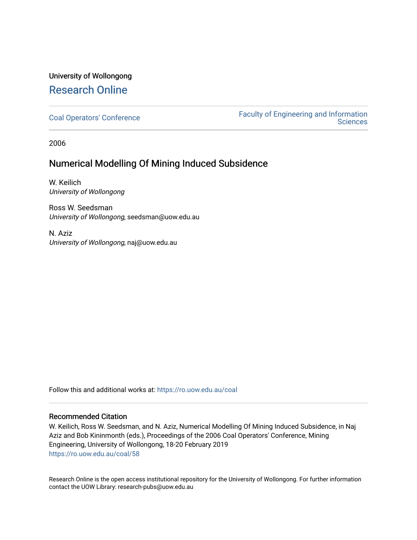# University of Wollongong [Research Online](https://ro.uow.edu.au/)

[Coal Operators' Conference](https://ro.uow.edu.au/coal) [Faculty of Engineering and Information](https://ro.uow.edu.au/eis)  **Sciences** 

2006

## Numerical Modelling Of Mining Induced Subsidence

W. Keilich University of Wollongong

Ross W. Seedsman University of Wollongong, seedsman@uow.edu.au

N. Aziz University of Wollongong, naj@uow.edu.au

Follow this and additional works at: [https://ro.uow.edu.au/coal](https://ro.uow.edu.au/coal?utm_source=ro.uow.edu.au%2Fcoal%2F58&utm_medium=PDF&utm_campaign=PDFCoverPages) 

## Recommended Citation

W. Keilich, Ross W. Seedsman, and N. Aziz, Numerical Modelling Of Mining Induced Subsidence, in Naj Aziz and Bob Kininmonth (eds.), Proceedings of the 2006 Coal Operators' Conference, Mining Engineering, University of Wollongong, 18-20 February 2019 [https://ro.uow.edu.au/coal/58](https://ro.uow.edu.au/coal/58?utm_source=ro.uow.edu.au%2Fcoal%2F58&utm_medium=PDF&utm_campaign=PDFCoverPages) 

Research Online is the open access institutional repository for the University of Wollongong. For further information contact the UOW Library: research-pubs@uow.edu.au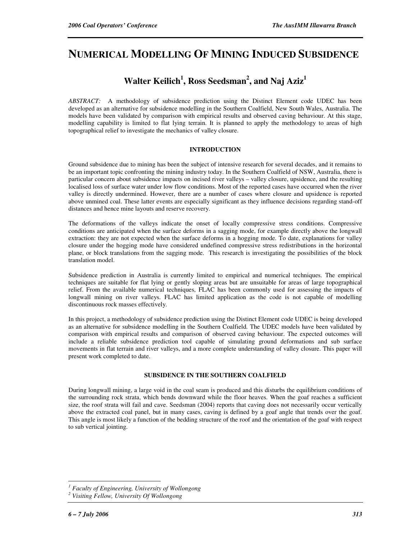## **NUMERICAL MODELLING OF MINING INDUCED SUBSIDENCE**

## **Walter Keilich<sup>1</sup> , Ross Seedsman<sup>2</sup> , and Naj Aziz<sup>1</sup>**

*ABSTRACT:* A methodology of subsidence prediction using the Distinct Element code UDEC has been developed as an alternative for subsidence modelling in the Southern Coalfield, New South Wales, Australia. The models have been validated by comparison with empirical results and observed caving behaviour. At this stage, modelling capability is limited to flat lying terrain. It is planned to apply the methodology to areas of high topographical relief to investigate the mechanics of valley closure.

## **INTRODUCTION**

Ground subsidence due to mining has been the subject of intensive research for several decades, and it remains to be an important topic confronting the mining industry today. In the Southern Coalfield of NSW, Australia, there is particular concern about subsidence impacts on incised river valleys – valley closure, upsidence, and the resulting localised loss of surface water under low flow conditions. Most of the reported cases have occurred when the river valley is directly undermined. However, there are a number of cases where closure and upsidence is reported above unmined coal. These latter events are especially significant as they influence decisions regarding stand-off distances and hence mine layouts and reserve recovery.

The deformations of the valleys indicate the onset of locally compressive stress conditions. Compressive conditions are anticipated when the surface deforms in a sagging mode, for example directly above the longwall extraction: they are not expected when the surface deforms in a hogging mode. To date, explanations for valley closure under the hogging mode have considered undefined compressive stress redistributions in the horizontal plane, or block translations from the sagging mode. This research is investigating the possibilities of the block translation model.

Subsidence prediction in Australia is currently limited to empirical and numerical techniques. The empirical techniques are suitable for flat lying or gently sloping areas but are unsuitable for areas of large topographical relief. From the available numerical techniques, FLAC has been commonly used for assessing the impacts of longwall mining on river valleys. FLAC has limited application as the code is not capable of modelling discontinuous rock masses effectively.

In this project, a methodology of subsidence prediction using the Distinct Element code UDEC is being developed as an alternative for subsidence modelling in the Southern Coalfield. The UDEC models have been validated by comparison with empirical results and comparison of observed caving behaviour. The expected outcomes will include a reliable subsidence prediction tool capable of simulating ground deformations and sub surface movements in flat terrain and river valleys, and a more complete understanding of valley closure. This paper will present work completed to date.

## **SUBSIDENCE IN THE SOUTHERN COALFIELD**

During longwall mining, a large void in the coal seam is produced and this disturbs the equilibrium conditions of the surrounding rock strata, which bends downward while the floor heaves. When the goaf reaches a sufficient size, the roof strata will fail and cave. Seedsman (2004) reports that caving does not necessarily occur vertically above the extracted coal panel, but in many cases, caving is defined by a goaf angle that trends over the goaf. This angle is most likely a function of the bedding structure of the roof and the orientation of the goaf with respect to sub vertical jointing.

 $\overline{a}$ 

*<sup>1</sup> Faculty of Engineering, University of Wollongong* 

*<sup>2</sup> Visiting Fellow, University Of Wollongong*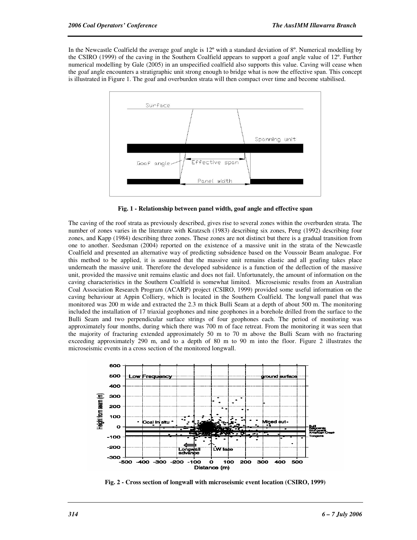In the Newcastle Coalfield the average goaf angle is 12º with a standard deviation of 8º. Numerical modelling by the CSIRO (1999) of the caving in the Southern Coalfield appears to support a goaf angle value of 12º. Further numerical modelling by Gale (2005) in an unspecified coalfield also supports this value. Caving will cease when the goaf angle encounters a stratigraphic unit strong enough to bridge what is now the effective span. This concept is illustrated in Figure 1. The goaf and overburden strata will then compact over time and become stabilised.



**Fig. 1 - Relationship between panel width, goaf angle and effective span** 

The caving of the roof strata as previously described, gives rise to several zones within the overburden strata. The number of zones varies in the literature with Kratzsch (1983) describing six zones, Peng (1992) describing four zones, and Kapp (1984) describing three zones. These zones are not distinct but there is a gradual transition from one to another. Seedsman (2004) reported on the existence of a massive unit in the strata of the Newcastle Coalfield and presented an alternative way of predicting subsidence based on the Voussoir Beam analogue. For this method to be applied, it is assumed that the massive unit remains elastic and all goafing takes place underneath the massive unit. Therefore the developed subsidence is a function of the deflection of the massive unit, provided the massive unit remains elastic and does not fail. Unfortunately, the amount of information on the caving characteristics in the Southern Coalfield is somewhat limited. Microseismic results from an Australian Coal Association Research Program (ACARP) project (CSIRO, 1999) provided some useful information on the caving behaviour at Appin Colliery, which is located in the Southern Coalfield. The longwall panel that was monitored was 200 m wide and extracted the 2.3 m thick Bulli Seam at a depth of about 500 m. The monitoring included the installation of 17 triaxial geophones and nine geophones in a borehole drilled from the surface to the Bulli Seam and two perpendicular surface strings of four geophones each. The period of monitoring was approximately four months, during which there was 700 m of face retreat. From the monitoring it was seen that the majority of fracturing extended approximately 50 m to 70 m above the Bulli Seam with no fracturing exceeding approximately 290 m, and to a depth of 80 m to 90 m into the floor. Figure 2 illustrates the microseismic events in a cross section of the monitored longwall.



**Fig. 2 - Cross section of longwall with microseismic event location (CSIRO, 1999)**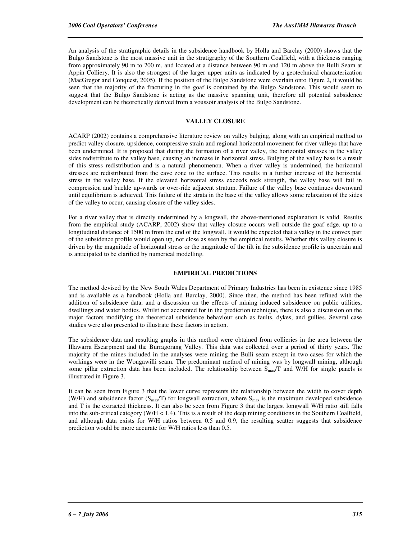An analysis of the stratigraphic details in the subsidence handbook by Holla and Barclay (2000) shows that the Bulgo Sandstone is the most massive unit in the stratigraphy of the Southern Coalfield, with a thickness ranging from approximately 90 m to 200 m, and located at a distance between 90 m and 120 m above the Bulli Seam at Appin Colliery. It is also the strongest of the larger upper units as indicated by a geotechnical characterization (MacGregor and Conquest, 2005). If the position of the Bulgo Sandstone were overlain onto Figure 2, it would be seen that the majority of the fracturing in the goaf is contained by the Bulgo Sandstone. This would seem to suggest that the Bulgo Sandstone is acting as the massive spanning unit, therefore all potential subsidence development can be theoretically derived from a voussoir analysis of the Bulgo Sandstone.

## **VALLEY CLOSURE**

ACARP (2002) contains a comprehensive literature review on valley bulging, along with an empirical method to predict valley closure, upsidence, compressive strain and regional horizontal movement for river valleys that have been undermined. It is proposed that during the formation of a river valley, the horizontal stresses in the valley sides redistribute to the valley base, causing an increase in horizontal stress. Bulging of the valley base is a result of this stress redistribution and is a natural phenomenon. When a river valley is undermined, the horizontal stresses are redistributed from the cave zone to the surface. This results in a further increase of the horizontal stress in the valley base. If the elevated horizontal stress exceeds rock strength, the valley base will fail in compression and buckle up-wards or over-ride adjacent stratum. Failure of the valley base continues downward until equilibrium is achieved. This failure of the strata in the base of the valley allows some relaxation of the sides of the valley to occur, causing closure of the valley sides.

For a river valley that is directly undermined by a longwall, the above-mentioned explanation is valid. Results from the empirical study (ACARP, 2002) show that valley closure occurs well outside the goaf edge, up to a longitudinal distance of 1500 m from the end of the longwall. It would be expected that a valley in the convex part of the subsidence profile would open up, not close as seen by the empirical results. Whether this valley closure is driven by the magnitude of horizontal stress or the magnitude of the tilt in the subsidence profile is uncertain and is anticipated to be clarified by numerical modelling.

## **EMPIRICAL PREDICTIONS**

The method devised by the New South Wales Department of Primary Industries has been in existence since 1985 and is available as a handbook (Holla and Barclay, 2000). Since then, the method has been refined with the addition of subsidence data, and a discussion on the effects of mining induced subsidence on public utilities, dwellings and water bodies. Whilst not accounted for in the prediction technique, there is also a discussion on the major factors modifying the theoretical subsidence behaviour such as faults, dykes, and gullies. Several case studies were also presented to illustrate these factors in action.

The subsidence data and resulting graphs in this method were obtained from collieries in the area between the Illawarra Escarpment and the Burragorang Valley. This data was collected over a period of thirty years. The majority of the mines included in the analyses were mining the Bulli seam except in two cases for which the workings were in the Wongawilli seam. The predominant method of mining was by longwall mining, although some pillar extraction data has been included. The relationship between  $S_{\text{max}}/T$  and W/H for single panels is illustrated in Figure 3.

It can be seen from Figure 3 that the lower curve represents the relationship between the width to cover depth (W/H) and subsidence factor ( $S<sub>max</sub>/T$ ) for longwall extraction, where  $S<sub>max</sub>$  is the maximum developed subsidence and T is the extracted thickness. It can also be seen from Figure 3 that the largest longwall W/H ratio still falls into the sub-critical category (W/H < 1.4). This is a result of the deep mining conditions in the Southern Coalfield, and although data exists for W/H ratios between 0.5 and 0.9, the resulting scatter suggests that subsidence prediction would be more accurate for W/H ratios less than 0.5.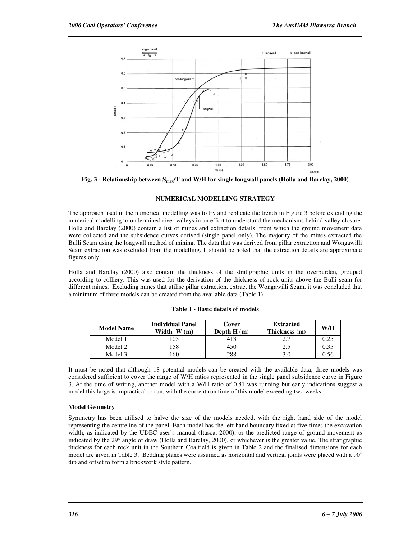

**Fig. 3 - Relationship between Smax/T and W/H for single longwall panels (Holla and Barclay, 2000)** 

## **NUMERICAL MODELLING STRATEGY**

The approach used in the numerical modelling was to try and replicate the trends in Figure 3 before extending the numerical modelling to undermined river valleys in an effort to understand the mechanisms behind valley closure. Holla and Barclay (2000) contain a list of mines and extraction details, from which the ground movement data were collected and the subsidence curves derived (single panel only). The majority of the mines extracted the Bulli Seam using the longwall method of mining. The data that was derived from pillar extraction and Wongawilli Seam extraction was excluded from the modelling. It should be noted that the extraction details are approximate figures only.

Holla and Barclay (2000) also contain the thickness of the stratigraphic units in the overburden, grouped according to colliery. This was used for the derivation of the thickness of rock units above the Bulli seam for different mines. Excluding mines that utilise pillar extraction, extract the Wongawilli Seam, it was concluded that a minimum of three models can be created from the available data (Table 1).

| <b>Model Name</b> | <b>Individual Panel</b><br>Width $W(m)$ | Cover<br>Depth $H(m)$ | <b>Extracted</b><br>Thickness (m) | W/H  |
|-------------------|-----------------------------------------|-----------------------|-----------------------------------|------|
| Model 1           | 105                                     | 413                   | <u>າາ</u>                         | 0.25 |
| Model 2           | 158                                     | 450                   | 25                                | 0.35 |
| Model 3           | 160                                     | 288                   | 3.0                               | 0.56 |

**Table 1 - Basic details of models** 

It must be noted that although 18 potential models can be created with the available data, three models was considered sufficient to cover the range of W/H ratios represented in the single panel subsidence curve in Figure 3. At the time of writing, another model with a W/H ratio of 0.81 was running but early indications suggest a model this large is impractical to run, with the current run time of this model exceeding two weeks.

## **Model Geometry**

Symmetry has been utilised to halve the size of the models needed, with the right hand side of the model representing the centreline of the panel. Each model has the left hand boundary fixed at five times the excavation width, as indicated by the UDEC user's manual (Itasca, 2000), or the predicted range of ground movement as indicated by the 29° angle of draw (Holla and Barclay, 2000), or whichever is the greater value. The stratigraphic thickness for each rock unit in the Southern Coalfield is given in Table 2 and the finalised dimensions for each model are given in Table 3. Bedding planes were assumed as horizontal and vertical joints were placed with a 90˚ dip and offset to form a brickwork style pattern.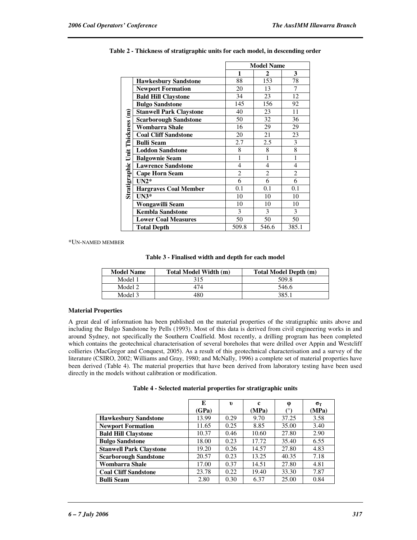|                                  |                                |                | <b>Model Name</b>        |                          |
|----------------------------------|--------------------------------|----------------|--------------------------|--------------------------|
|                                  |                                | 1              | 2                        | 3                        |
|                                  | <b>Hawkesbury Sandstone</b>    | 88             | 153                      | 78                       |
|                                  | <b>Newport Formation</b>       | 20             | 13                       | 7                        |
|                                  | <b>Bald Hill Claystone</b>     | 34             | 23                       | 12                       |
|                                  | <b>Bulgo Sandstone</b>         | 145            | 156                      | 92                       |
|                                  | <b>Stanwell Park Claystone</b> | 40             | 23                       | 11                       |
| Stratigraphic Unit Thickness (m) | <b>Scarborough Sandstone</b>   | 50             | 32                       | 36                       |
|                                  | <b>Wombarra Shale</b>          | 16             | 29                       | 29                       |
|                                  | <b>Coal Cliff Sandstone</b>    | 20             | 21                       | 23                       |
|                                  | <b>Bulli Seam</b>              | 2.7            | 2.5                      | 3                        |
|                                  | <b>Loddon Sandstone</b>        | 8              | 8                        | 8                        |
|                                  | <b>Balgownie Seam</b>          | $\mathbf{1}$   | 1                        | $\mathbf{1}$             |
|                                  | <b>Lawrence Sandstone</b>      | $\overline{4}$ | $\overline{\mathcal{L}}$ | $\overline{\mathcal{L}}$ |
|                                  | <b>Cape Horn Seam</b>          | $\overline{2}$ | $\overline{2}$           | $\overline{2}$           |
|                                  | $UN2*$                         | 6              | 6                        | 6                        |
|                                  | <b>Hargraves Coal Member</b>   | 0.1            | 0.1                      | 0.1                      |
|                                  | $UN3*$                         | 10             | 10                       | 10                       |
|                                  | Wongawilli Seam                | 10             | 10                       | 10                       |
|                                  | <b>Kembla Sandstone</b>        | 3              | 3                        | 3                        |
|                                  | <b>Lower Coal Measures</b>     | 50             | 50                       | 50                       |
|                                  | <b>Total Depth</b>             | 509.8          | 546.6                    | 385.1                    |

|  |  |  |  |  | Table 2 - Thickness of stratigraphic units for each model, in descending order |
|--|--|--|--|--|--------------------------------------------------------------------------------|
|--|--|--|--|--|--------------------------------------------------------------------------------|

\*UN-NAMED MEMBER

| <b>Model Name</b> | Total Model Width (m) | Total Model Depth (m) |
|-------------------|-----------------------|-----------------------|
| Model 1           | 315                   | 509.8                 |
| Model 2           | 474                   | 546.6                 |
| Model 3           | 480                   | 385.1                 |

## **Material Properties**

A great deal of information has been published on the material properties of the stratigraphic units above and including the Bulgo Sandstone by Pells (1993). Most of this data is derived from civil engineering works in and around Sydney, not specifically the Southern Coalfield. Most recently, a drilling program has been completed which contains the geotechnical characterisation of several boreholes that were drilled over Appin and Westcliff collieries (MacGregor and Conquest, 2005). As a result of this geotechnical characterisation and a survey of the literature (CSIRO, 2002; Williams and Gray, 1980; and McNally, 1996) a complete set of material properties have been derived (Table 4). The material properties that have been derived from laboratory testing have been used directly in the models without calibration or modification.

|  | Table 4 - Selected material properties for stratigraphic units |  |  |
|--|----------------------------------------------------------------|--|--|
|  |                                                                |  |  |

|                                | E     | $\mathbf{v}$ | c     | φ     | $\sigma_{\rm T}$ |
|--------------------------------|-------|--------------|-------|-------|------------------|
|                                | (GPa) |              | (MPa) | (٥    | (MPa)            |
| <b>Hawkesbury Sandstone</b>    | 13.99 | 0.29         | 9.70  | 37.25 | 3.58             |
| <b>Newport Formation</b>       | 11.65 | 0.25         | 8.85  | 35.00 | 3.40             |
| <b>Bald Hill Claystone</b>     | 10.37 | 0.46         | 10.60 | 27.80 | 2.90             |
| <b>Bulgo Sandstone</b>         | 18.00 | 0.23         | 17.72 | 35.40 | 6.55             |
| <b>Stanwell Park Claystone</b> | 19.20 | 0.26         | 14.57 | 27.80 | 4.83             |
| <b>Scarborough Sandstone</b>   | 20.57 | 0.23         | 13.25 | 40.35 | 7.18             |
| Wombarra Shale                 | 17.00 | 0.37         | 14.51 | 27.80 | 4.81             |
| <b>Coal Cliff Sandstone</b>    | 23.78 | 0.22         | 19.40 | 33.30 | 7.87             |
| <b>Bulli Seam</b>              | 2.80  | 0.30         | 6.37  | 25.00 | 0.84             |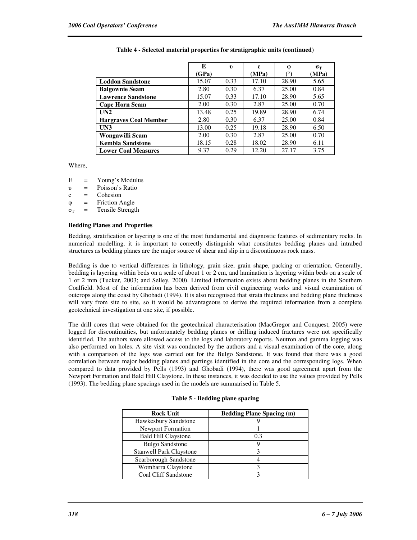|                              | E     | $\mathbf{v}$ | c     | φ     | $\sigma_{\rm T}$ |
|------------------------------|-------|--------------|-------|-------|------------------|
|                              | (GPa) |              | (MPa) | (°)   | (MPa)            |
| <b>Loddon Sandstone</b>      | 15.07 | 0.33         | 17.10 | 28.90 | 5.65             |
| <b>Balgownie Seam</b>        | 2.80  | 0.30         | 6.37  | 25.00 | 0.84             |
| <b>Lawrence Sandstone</b>    | 15.07 | 0.33         | 17.10 | 28.90 | 5.65             |
| <b>Cape Horn Seam</b>        | 2.00  | 0.30         | 2.87  | 25.00 | 0.70             |
| UN2                          | 13.48 | 0.25         | 19.89 | 28.90 | 6.74             |
| <b>Hargraves Coal Member</b> | 2.80  | 0.30         | 6.37  | 25.00 | 0.84             |
| UN3                          | 13.00 | 0.25         | 19.18 | 28.90 | 6.50             |
| Wongawilli Seam              | 2.00  | 0.30         | 2.87  | 25.00 | 0.70             |
| <b>Kembla Sandstone</b>      | 18.15 | 0.28         | 18.02 | 28.90 | 6.11             |
| <b>Lower Coal Measures</b>   | 9.37  | 0.29         | 12.20 | 27.17 | 3.75             |

## **Table 4 - Selected material properties for stratigraphic units (continued)**

Where,

- $E = \text{Young's Modulus}$
- υ = Poisson's Ratio
- $c =$  Cohesion
- $\varphi$  = Friction Angle
- $\sigma_T$  = Tensile Strength

#### **Bedding Planes and Properties**

Bedding, stratification or layering is one of the most fundamental and diagnostic features of sedimentary rocks. In numerical modelling, it is important to correctly distinguish what constitutes bedding planes and intrabed structures as bedding planes are the major source of shear and slip in a discontinuous rock mass.

Bedding is due to vertical differences in lithology, grain size, grain shape, packing or orientation. Generally, bedding is layering within beds on a scale of about 1 or 2 cm, and lamination is layering within beds on a scale of 1 or 2 mm (Tucker, 2003; and Selley, 2000). Limited information exists about bedding planes in the Southern Coalfield. Most of the information has been derived from civil engineering works and visual examination of outcrops along the coast by Ghobadi (1994). It is also recognised that strata thickness and bedding plane thickness will vary from site to site, so it would be advantageous to derive the required information from a complete geotechnical investigation at one site, if possible.

The drill cores that were obtained for the geotechnical characterisation (MacGregor and Conquest, 2005) were logged for discontinuities, but unfortunately bedding planes or drilling induced fractures were not specifically identified. The authors were allowed access to the logs and laboratory reports. Neutron and gamma logging was also performed on holes. A site visit was conducted by the authors and a visual examination of the core, along with a comparison of the logs was carried out for the Bulgo Sandstone. It was found that there was a good correlation between major bedding planes and partings identified in the core and the corresponding logs. When compared to data provided by Pells (1993) and Ghobadi (1994), there was good agreement apart from the Newport Formation and Bald Hill Claystone. In these instances, it was decided to use the values provided by Pells (1993). The bedding plane spacings used in the models are summarised in Table 5.

| <b>Rock Unit</b>               | <b>Bedding Plane Spacing (m)</b> |
|--------------------------------|----------------------------------|
| Hawkesbury Sandstone           |                                  |
| <b>Newport Formation</b>       |                                  |
| <b>Bald Hill Claystone</b>     | 0.3                              |
| <b>Bulgo Sandstone</b>         | y                                |
| <b>Stanwell Park Claystone</b> |                                  |
| Scarborough Sandstone          |                                  |
| Wombarra Claystone             |                                  |
| Coal Cliff Sandstone           |                                  |

#### **Table 5 - Bedding plane spacing**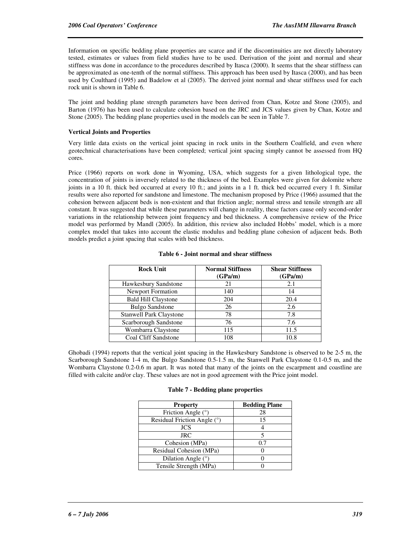Information on specific bedding plane properties are scarce and if the discontinuities are not directly laboratory tested, estimates or values from field studies have to be used. Derivation of the joint and normal and shear stiffness was done in accordance to the procedures described by Itasca (2000). It seems that the shear stiffness can be approximated as one-tenth of the normal stiffness. This approach has been used by Itasca (2000), and has been used by Coulthard (1995) and Badelow et al (2005). The derived joint normal and shear stiffness used for each rock unit is shown in Table 6.

The joint and bedding plane strength parameters have been derived from Chan, Kotze and Stone (2005), and Barton (1976) has been used to calculate cohesion based on the JRC and JCS values given by Chan, Kotze and Stone (2005). The bedding plane properties used in the models can be seen in Table 7.

## **Vertical Joints and Properties**

Very little data exists on the vertical joint spacing in rock units in the Southern Coalfield, and even where geotechnical characterisations have been completed; vertical joint spacing simply cannot be assessed from HQ cores.

Price (1966) reports on work done in Wyoming, USA, which suggests for a given lithological type, the concentration of joints is inversely related to the thickness of the bed. Examples were given for dolomite where joints in a 10 ft. thick bed occurred at every 10 ft.; and joints in a 1 ft. thick bed occurred every 1 ft. Similar results were also reported for sandstone and limestone. The mechanism proposed by Price (1966) assumed that the cohesion between adjacent beds is non-existent and that friction angle; normal stress and tensile strength are all constant. It was suggested that while these parameters will change in reality, these factors cause only second-order variations in the relationship between joint frequency and bed thickness. A comprehensive review of the Price model was performed by Mandl (2005). In addition, this review also included Hobbs' model, which is a more complex model that takes into account the elastic modulus and bedding plane cohesion of adjacent beds. Both models predict a joint spacing that scales with bed thickness.

| <b>Rock Unit</b>               | <b>Normal Stiffness</b><br>(GPa/m) | <b>Shear Stiffness</b><br>(GPa/m) |
|--------------------------------|------------------------------------|-----------------------------------|
| Hawkesbury Sandstone           | 21                                 | 2.1                               |
| <b>Newport Formation</b>       | 140                                | 14                                |
| <b>Bald Hill Claystone</b>     | 204                                | 20.4                              |
| <b>Bulgo Sandstone</b>         | 26                                 | 2.6                               |
| <b>Stanwell Park Claystone</b> | 78                                 | 7.8                               |
| Scarborough Sandstone          | 76                                 | 7.6                               |
| Wombarra Claystone             | 115                                | 11.5                              |
| Coal Cliff Sandstone           | 108                                | 10.8                              |

## **Table 6 - Joint normal and shear stiffness**

Ghobadi (1994) reports that the vertical joint spacing in the Hawkesbury Sandstone is observed to be 2-5 m, the Scarborough Sandstone 1-4 m, the Bulgo Sandstone 0.5-1.5 m, the Stanwell Park Claystone 0.1-0.5 m, and the Wombarra Claystone 0.2-0.6 m apart. It was noted that many of the joints on the escarpment and coastline are filled with calcite and/or clay. These values are not in good agreement with the Price joint model.

## **Table 7 - Bedding plane properties**

| <b>Property</b>             | <b>Bedding Plane</b> |
|-----------------------------|----------------------|
| Friction Angle $(°)$        | 28                   |
| Residual Friction Angle (°) | 15                   |
| <b>JCS</b>                  |                      |
| <b>JRC</b>                  |                      |
| Cohesion (MPa)              | 0.7                  |
| Residual Cohesion (MPa)     |                      |
| Dilation Angle $(°)$        |                      |
| Tensile Strength (MPa)      |                      |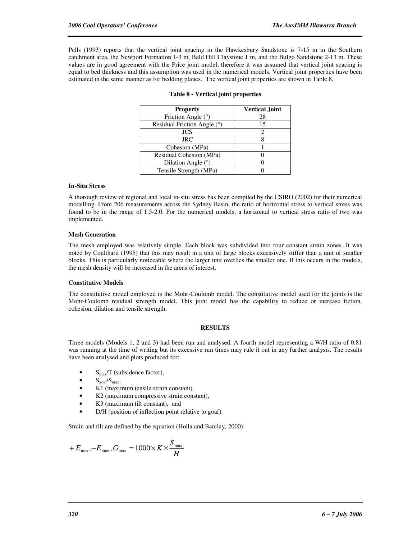Pells (1993) reports that the vertical joint spacing in the Hawkesbury Sandstone is 7-15 m in the Southern catchment area, the Newport Formation 1-3 m, Bald Hill Claystone 1 m, and the Bulgo Sandstone 2-13 m. These values are in good agreement with the Price joint model, therefore it was assumed that vertical joint spacing is equal to bed thickness and this assumption was used in the numerical models. Vertical joint properties have been estimated in the same manner as for bedding planes. The vertical joint properties are shown in Table 8.

| <b>Property</b>             | <b>Vertical Joint</b> |
|-----------------------------|-----------------------|
| Friction Angle (°)          | 28                    |
| Residual Friction Angle (°) | 15                    |
| <b>JCS</b>                  |                       |
| <b>JRC</b>                  |                       |
| Cohesion (MPa)              |                       |
| Residual Cohesion (MPa)     |                       |
| Dilation Angle $(°)$        |                       |
| Tensile Strength (MPa)      |                       |

|  |  | Table 8 - Vertical joint properties |
|--|--|-------------------------------------|
|  |  |                                     |

## **In-Situ Stress**

A thorough review of regional and local in-situ stress has been compiled by the CSIRO (2002) for their numerical modelling. From 206 measurements across the Sydney Basin, the ratio of horizontal stress to vertical stress was found to be in the range of 1.5-2.0. For the numerical models, a horizontal to vertical stress ratio of two was implemented.

## **Mesh Generation**

The mesh employed was relatively simple. Each block was subdivided into four constant strain zones. It was noted by Coulthard (1995) that this may result in a unit of large blocks excessively stiffer than a unit of smaller blocks. This is particularly noticeable where the larger unit overlies the smaller one. If this occurs in the models, the mesh density will be increased in the areas of interest.

#### **Constitutive Models**

The constitutive model employed is the Mohr-Coulomb model. The constitutive model used for the joints is the Mohr-Coulomb residual strength model. This joint model has the capability to reduce or increase fiction, cohesion, dilation and tensile strength.

#### **RESULTS**

Three models (Models 1, 2 and 3) had been run and analysed. A fourth model representing a W/H ratio of 0.81 was running at the time of writing but its excessive run times may rule it out in any further analysis. The results have been analysed and plots produced for:

- $S_{\text{max}}/T$  (subsidence factor),
- $S_{\text{goal}}/S_{\text{max}}$ ,
- K1 (maximum tensile strain constant),
- K<sub>2</sub> (maximum compressive strain constant),
- K3 (maximum tilt constant), and
- D/H (position of inflection point relative to goaf).

Strain and tilt are defined by the equation (Holla and Barclay, 2000):

$$
+ E_{\text{max}} , -E_{\text{max}} , G_{\text{max}} = 1000 \times K \times \frac{S_{\text{max}}}{H}
$$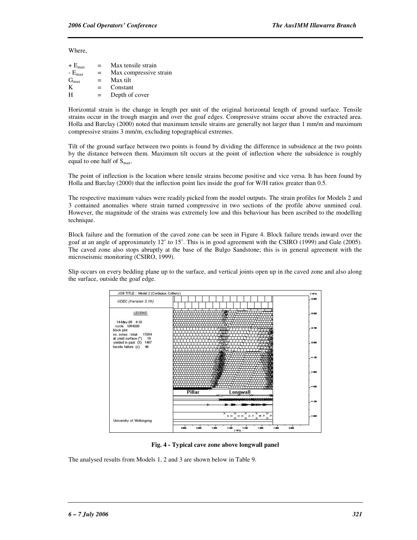Where,

| $+ E_{\text{max}}$ | $=$ | Max tensile strain     |
|--------------------|-----|------------------------|
| $-E_{\text{max}}$  | $=$ | Max compressive strain |
| $G_{\text{max}}$   | $=$ | Max tilt               |
| K                  | $=$ | Constant               |
| H                  | $=$ | Depth of cover         |

Horizontal strain is the change in length per unit of the original horizontal length of ground surface. Tensile strains occur in the trough margin and over the goaf edges. Compressive strains occur above the extracted area. Holla and Barclay (2000) noted that maximum tensile strains are generally not larger than 1 mm/m and maximum compressive strains 3 mm/m, excluding topographical extremes.

Tilt of the ground surface between two points is found by dividing the difference in subsidence at the two points by the distance between them. Maximum tilt occurs at the point of inflection where the subsidence is roughly equal to one half of  $S_{\text{max}}$ .

The point of inflection is the location where tensile strains become positive and vice versa. It has been found by Holla and Barclay (2000) that the inflection point lies inside the goaf for W/H ratios greater than 0.5.

The respective maximum values were readily picked from the model outputs. The strain profiles for Models 2 and 3 contained anomalies where strain turned compressive in two sections of the profile above unmined coal. However, the magnitude of the strains was extremely low and this behaviour has been ascribed to the modelling technique.

Block failure and the formation of the caved zone can be seen in Figure 4. Block failure trends inward over the goaf at an angle of approximately 12˚ to 15˚. This is in good agreement with the CSIRO (1999) and Gale (2005). The caved zone also stops abruptly at the base of the Bulgo Sandstone; this is in general agreement with the microseismic monitoring (CSIRO, 1999).

Slip occurs on every bedding plane up to the surface, and vertical joints open up in the caved zone and also along the surface, outside the goaf edge.



#### **Fig. 4 - Typical cave zone above longwall panel**

The analysed results from Models 1, 2 and 3 are shown below in Table 9.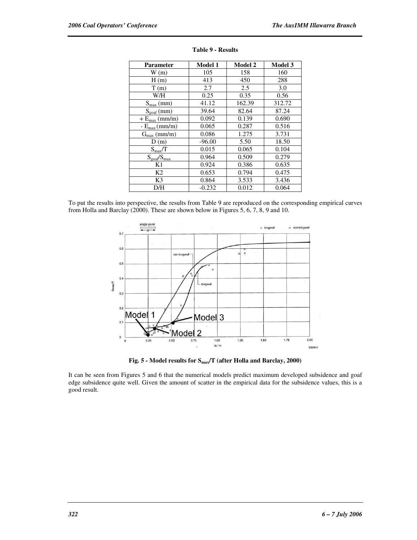| Parameter                        | <b>Model 1</b> | <b>Model 2</b> | <b>Model 3</b> |
|----------------------------------|----------------|----------------|----------------|
| W(m)                             | 105            | 158            | 160            |
| H(m)                             | 413            | 450            | 288            |
| T(m)                             | 2.7            | 2.5            | 3.0            |
| W/H                              | 0.25           | 0.35           | 0.56           |
| $S_{\text{max}}$ (mm)            | 41.12          | 162.39         | 312.72         |
| $S_{\text{goaf}}$ (mm)           | 39.64          | 82.64          | 87.24          |
| $+ E_{max}$ (mm/m)               | 0.092          | 0.139          | 0.690          |
| $-E_{\text{max}}$ (mm/m)         | 0.065          | 0.287          | 0.516          |
| $G_{max}(mm/m)$                  | 0.086          | 1.275          | 3.731          |
| D(m)                             | $-96.00$       | 5.50           | 18.50          |
| $S_{\rm max}/T$                  | 0.015          | 0.065          | 0.104          |
| $S_{\text{goal}}/S_{\text{max}}$ | 0.964          | 0.509          | 0.279          |
| K1                               | 0.924          | 0.386          | 0.635          |
| K <sub>2</sub>                   | 0.653          | 0.794          | 0.475          |
| K <sub>3</sub>                   | 0.864          | 3.533          | 3.436          |
| D/H                              | $-0.232$       | 0.012          | 0.064          |

| Table 9 - Results |  |  |  |  |  |  |  |
|-------------------|--|--|--|--|--|--|--|
|-------------------|--|--|--|--|--|--|--|

To put the results into perspective, the results from Table 9 are reproduced on the corresponding empirical curves from Holla and Barclay (2000). These are shown below in Figures 5, 6, 7, 8, 9 and 10.



**Fig. 5 - Model results for Smax/T (after Holla and Barclay, 2000)** 

It can be seen from Figures 5 and 6 that the numerical models predict maximum developed subsidence and goaf edge subsidence quite well. Given the amount of scatter in the empirical data for the subsidence values, this is a good result.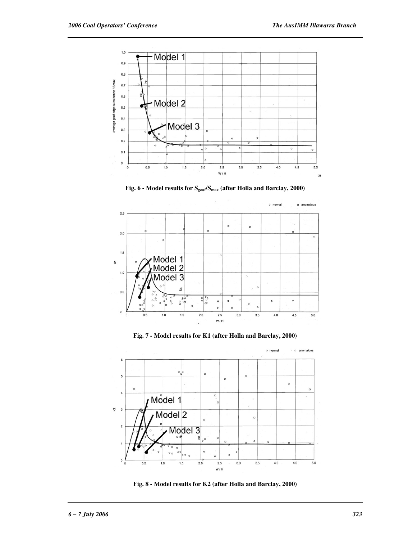

**Fig. 6 - Model results for Sgoaf/Smax (after Holla and Barclay, 2000)** 



**Fig. 7 - Model results for K1 (after Holla and Barclay, 2000)** 



**Fig. 8 - Model results for K2 (after Holla and Barclay, 2000)**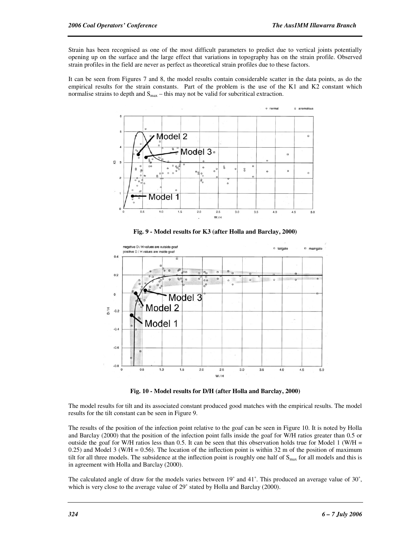Strain has been recognised as one of the most difficult parameters to predict due to vertical joints potentially opening up on the surface and the large effect that variations in topography has on the strain profile. Observed strain profiles in the field are never as perfect as theoretical strain profiles due to these factors.

It can be seen from Figures 7 and 8, the model results contain considerable scatter in the data points, as do the empirical results for the strain constants. Part of the problem is the use of the K1 and K2 constant which normalise strains to depth and  $S_{\text{max}}$  – this may not be valid for subcritical extraction.



**Fig. 9 - Model results for K3 (after Holla and Barclay, 2000)** 



**Fig. 10 - Model results for D/H (after Holla and Barclay, 2000)** 

The model results for tilt and its associated constant produced good matches with the empirical results. The model results for the tilt constant can be seen in Figure 9.

The results of the position of the infection point relative to the goaf can be seen in Figure 10. It is noted by Holla and Barclay (2000) that the position of the infection point falls inside the goaf for W/H ratios greater than 0.5 or outside the goaf for W/H ratios less than 0.5. It can be seen that this observation holds true for Model 1 (W/H  $=$ 0.25) and Model 3 (W/H = 0.56). The location of the inflection point is within 32 m of the position of maximum tilt for all three models. The subsidence at the inflection point is roughly one half of  $S<sub>max</sub>$  for all models and this is in agreement with Holla and Barclay (2000).

The calculated angle of draw for the models varies between 19˚ and 41˚. This produced an average value of 30˚, which is very close to the average value of 29˚ stated by Holla and Barclay (2000).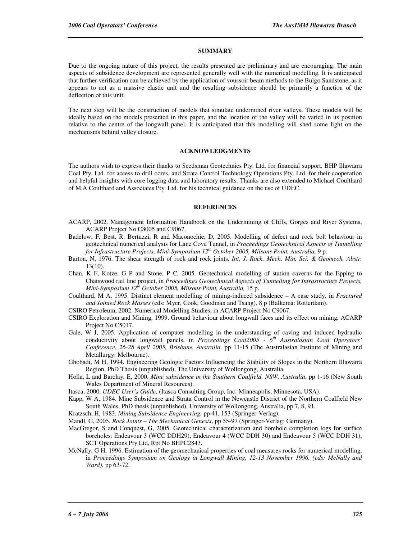#### **SUMMARY**

Due to the ongoing nature of this project, the results presented are preliminary and are encouraging. The main aspects of subsidence development are represented generally well with the numerical modelling. It is anticipated that further verification can be achieved by the application of voussoir beam methods to the Bulgo Sandstone, as it appears to act as a massive elastic unit and the resulting subsidence should be primarily a function of the deflection of this unit.

The next step will be the construction of models that simulate undermined river valleys. These models will be ideally based on the models presented in this paper, and the location of the valley will be varied in its position relative to the centre of the longwall panel. It is anticipated that this modelling will shed some light on the mechanisms behind valley closure.

#### **ACKNOWLEDGMENTS**

The authors wish to express their thanks to Seedsman Geotechnics Pty. Ltd. for financial support, BHP Illawarra Coal Pty. Ltd. for access to drill cores, and Strata Control Technology Operations Pty. Ltd. for their cooperation and helpful insights with core logging data and laboratory results. Thanks are also extended to Michael Coulthard of M.A Coulthard and Associates Pty. Ltd. for his technical guidance on the use of UDEC.

#### **REFERENCES**

- ACARP, 2002. Management Information Handbook on the Undermining of Cliffs, Gorges and River Systems, ACARP Project No C8005 and C9067.
- Badelow, F, Best, R, Bertuzzi, R and Maconochie, D, 2005. Modelling of defect and rock bolt behaviour in geotechnical numerical analysis for Lane Cove Tunnel, in *Proceedings Geotechnical Aspects of Tunnelling for Infrastructure Projects, Mini-Symposium 12th October 2005, Milsons Point, Australia,* 9 p.
- Barton, N, 1976. The shear strength of rock and rock joints, *Int. J. Rock. Mech. Min. Sci. & Geomech. Abstr.*  13(10).
- Chan, K F, Kotze, G P and Stone, P C, 2005. Geotechnical modelling of station caverns for the Epping to Chatswood rail line project, in *Proceedings Geotechnical Aspects of Tunnelling for Infrastructure Projects, Mini-Symposium 12th October 2005, Milsons Point, Australia,* 15 p.
- Coulthard, M A, 1995. Distinct element modelling of mining-induced subsidence A case study, in *Fractured and Jointed Rock Masses* (eds: Myer, Cook, Goodman and Tsang), 8 p (Balkema: Rotterdam).
- CSIRO Petroleum, 2002. Numerical Modelling Studies, in ACARP Project No C9067.
- CSIRO Exploration and Mining, 1999. Ground behaviour about longwall faces and its effect on mining, ACARP Project No C5017.
- Gale, W J, 2005. Application of computer modelling in the understanding of caving and induced hydraulic conductivity about longwall panels, in *Proceedings Coal2005 - 6th Australasian Coal Operators' Conference*, *26-28 April 2005, Brisbane, Australia*. pp 11-15 (The Australasian Institute of Mining and Metallurgy: Melbourne).
- Ghobadi, M H, 1994. Engineering Geologic Factors Influencing the Stability of Slopes in the Northern Illawarra Region, PhD Thesis (unpublished), The University of Wollongong, Australia.
- Holla, L and Barclay, E, 2000. *Mine subsidence in the Southern Coalfield, NSW, Australia*, pp 1-16 (New South Wales Department of Mineral Resources).
- Itasca, 2000. *UDEC User's Guide*, (Itasca Consulting Group, Inc: Minneapolis, Minnesota, USA).
- Kapp, W A, 1984. Mine Subsidence and Strata Control in the Newcastle District of the Northern Coalfield New South Wales, PhD thesis (unpublished), University of Wollongong, Australia, pp 7, 8, 91.
- Kratzsch, H, 1983. *Mining Subsidence Engineering,* pp 41, 153 (Springer-Verlag).
- Mandl, G, 2005. *Rock Joints The Mechanical Genesis*, pp 55-97 (Springer-Verlag: Germany).
- MacGregor, S and Conquest, G, 2005. Geotechnical characterization and borehole completion logs for surface boreholes: Endeavour 3 (WCC DDH29), Endeavour 4 (WCC DDH 30) and Endeavour 5 (WCC DDH 31), SCT Operations Pty Ltd, Rpt No BHPC2843.
- McNally, G H, 1996. Estimation of the geomechanical properties of coal measures rocks for numerical modelling, in *Proceedings Symposium on Geology in Longwall Mining, 12-13 November 1996, (eds: McNally and Ward)*, pp 63-72.